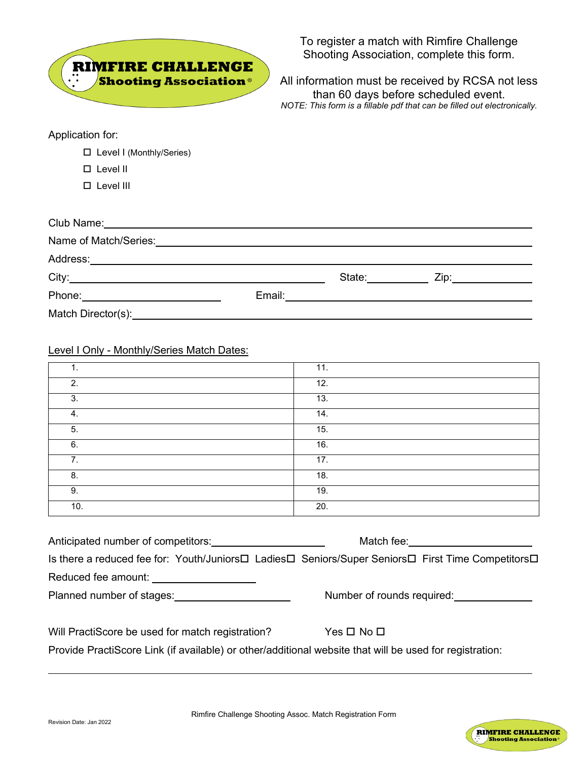

To register a match with Rimfire Challenge Shooting Association, complete this form.

All information must be received by RCSA not less than 60 days before scheduled event. *NOTE: This form is a fillable pdf that can be filled out electronically.*

Application for:

Level I (Monthly/Series)

Level II

Level III

## Level I Only - Monthly/Series Match Dates:

| 1.  | 11. |
|-----|-----|
| 2.  | 12. |
| 3.  | 13. |
| 4.  | 14. |
| 5.  | 15. |
| 6.  | 16. |
| 7.  | 17. |
| 8.  | 18. |
| 9.  | 19. |
| 10. | 20. |

| Anticipated number of competitors:                                                                                                                                                                                                   | Match fee: Match Section And The Match Section And The Match Section And The Match Section And The Match Section And The Match Section And The Match Section And The Match Section And The Match Section And The Match Section |
|--------------------------------------------------------------------------------------------------------------------------------------------------------------------------------------------------------------------------------------|--------------------------------------------------------------------------------------------------------------------------------------------------------------------------------------------------------------------------------|
| Is there a reduced fee for: Youth/Juniors□ Ladies□ Seniors/Super Seniors□ First Time Competitors□                                                                                                                                    |                                                                                                                                                                                                                                |
| Reduced fee amount: <u>contained a series and a series of the series of the series of the series of the series of the series of the series of the series of the series of the series of the series of the series of the series o</u> |                                                                                                                                                                                                                                |
| Planned number of stages: National Planned number of stages:                                                                                                                                                                         | Number of rounds required:                                                                                                                                                                                                     |
| Will PractiScore be used for match registration?                                                                                                                                                                                     | $Yes \Box No \Box$                                                                                                                                                                                                             |
|                                                                                                                                                                                                                                      |                                                                                                                                                                                                                                |